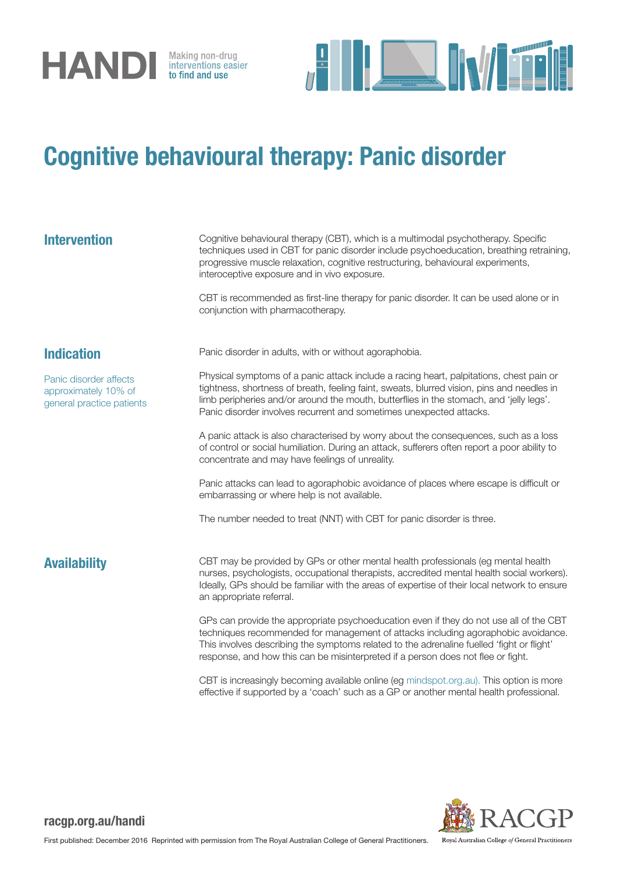



## Cognitive behavioural therapy: Panic disorder

| <b>Intervention</b>                                                         | Cognitive behavioural therapy (CBT), which is a multimodal psychotherapy. Specific<br>techniques used in CBT for panic disorder include psychoeducation, breathing retraining,<br>progressive muscle relaxation, cognitive restructuring, behavioural experiments,<br>interoceptive exposure and in vivo exposure.<br>CBT is recommended as first-line therapy for panic disorder. It can be used alone or in<br>conjunction with pharmacotherapy. |
|-----------------------------------------------------------------------------|----------------------------------------------------------------------------------------------------------------------------------------------------------------------------------------------------------------------------------------------------------------------------------------------------------------------------------------------------------------------------------------------------------------------------------------------------|
| <b>Indication</b>                                                           | Panic disorder in adults, with or without agoraphobia.                                                                                                                                                                                                                                                                                                                                                                                             |
| Panic disorder affects<br>approximately 10% of<br>general practice patients | Physical symptoms of a panic attack include a racing heart, palpitations, chest pain or<br>tightness, shortness of breath, feeling faint, sweats, blurred vision, pins and needles in<br>limb peripheries and/or around the mouth, butterflies in the stomach, and 'jelly legs'.<br>Panic disorder involves recurrent and sometimes unexpected attacks.                                                                                            |
|                                                                             | A panic attack is also characterised by worry about the consequences, such as a loss<br>of control or social humiliation. During an attack, sufferers often report a poor ability to<br>concentrate and may have feelings of unreality.                                                                                                                                                                                                            |
|                                                                             | Panic attacks can lead to agoraphobic avoidance of places where escape is difficult or<br>embarrassing or where help is not available.                                                                                                                                                                                                                                                                                                             |
|                                                                             | The number needed to treat (NNT) with CBT for panic disorder is three.                                                                                                                                                                                                                                                                                                                                                                             |
| <b>Availability</b>                                                         | CBT may be provided by GPs or other mental health professionals (eg mental health<br>nurses, psychologists, occupational therapists, accredited mental health social workers).<br>Ideally, GPs should be familiar with the areas of expertise of their local network to ensure<br>an appropriate referral.                                                                                                                                         |
|                                                                             | GPs can provide the appropriate psychoeducation even if they do not use all of the CBT<br>techniques recommended for management of attacks including agoraphobic avoidance.<br>This involves describing the symptoms related to the adrenaline fuelled 'fight or flight'<br>response, and how this can be misinterpreted if a person does not flee or fight.                                                                                       |
|                                                                             | CBT is increasingly becoming available online (eg mindspot.org.au). This option is more<br>effective if supported by a 'coach' such as a GP or another mental health professional.                                                                                                                                                                                                                                                                 |



racgp.org.au/handi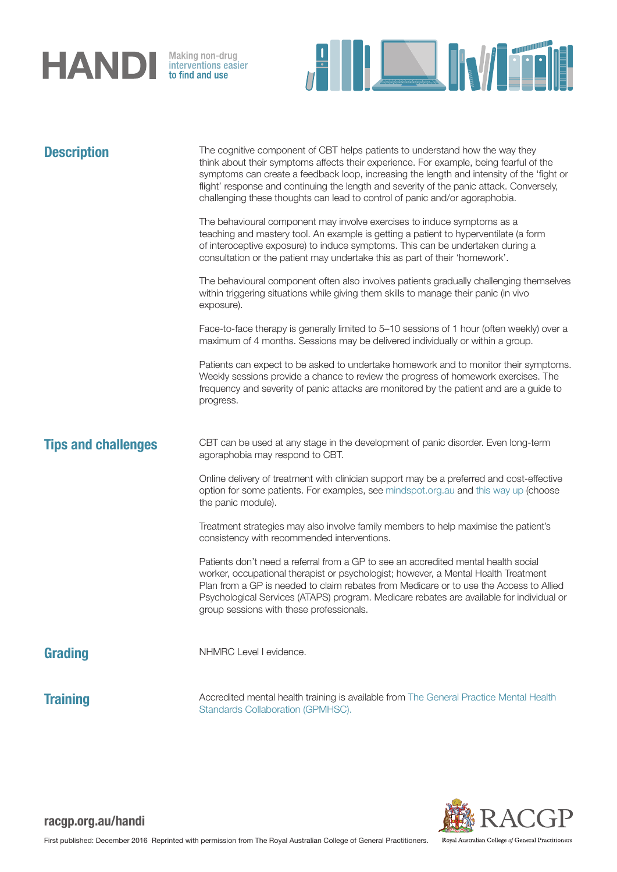



| <b>Description</b>         | The cognitive component of CBT helps patients to understand how the way they<br>think about their symptoms affects their experience. For example, being fearful of the<br>symptoms can create a feedback loop, increasing the length and intensity of the 'fight or<br>flight' response and continuing the length and severity of the panic attack. Conversely,<br>challenging these thoughts can lead to control of panic and/or agoraphobia. |
|----------------------------|------------------------------------------------------------------------------------------------------------------------------------------------------------------------------------------------------------------------------------------------------------------------------------------------------------------------------------------------------------------------------------------------------------------------------------------------|
|                            | The behavioural component may involve exercises to induce symptoms as a<br>teaching and mastery tool. An example is getting a patient to hyperventilate (a form<br>of interoceptive exposure) to induce symptoms. This can be undertaken during a<br>consultation or the patient may undertake this as part of their 'homework'.                                                                                                               |
|                            | The behavioural component often also involves patients gradually challenging themselves<br>within triggering situations while giving them skills to manage their panic (in vivo<br>exposure).                                                                                                                                                                                                                                                  |
|                            | Face-to-face therapy is generally limited to 5-10 sessions of 1 hour (often weekly) over a<br>maximum of 4 months. Sessions may be delivered individually or within a group.                                                                                                                                                                                                                                                                   |
|                            | Patients can expect to be asked to undertake homework and to monitor their symptoms.<br>Weekly sessions provide a chance to review the progress of homework exercises. The<br>frequency and severity of panic attacks are monitored by the patient and are a guide to<br>progress.                                                                                                                                                             |
|                            |                                                                                                                                                                                                                                                                                                                                                                                                                                                |
| <b>Tips and challenges</b> | CBT can be used at any stage in the development of panic disorder. Even long-term<br>agoraphobia may respond to CBT.                                                                                                                                                                                                                                                                                                                           |
|                            | Online delivery of treatment with clinician support may be a preferred and cost-effective<br>option for some patients. For examples, see mindspot.org.au and this way up (choose<br>the panic module).                                                                                                                                                                                                                                         |
|                            | Treatment strategies may also involve family members to help maximise the patient's<br>consistency with recommended interventions.                                                                                                                                                                                                                                                                                                             |
|                            | Patients don't need a referral from a GP to see an accredited mental health social<br>worker, occupational therapist or psychologist; however, a Mental Health Treatment<br>Plan from a GP is needed to claim rebates from Medicare or to use the Access to Allied<br>Psychological Services (ATAPS) program. Medicare rebates are available for individual or<br>group sessions with these professionals.                                     |
| <b>Grading</b>             | NHMRC Level I evidence.                                                                                                                                                                                                                                                                                                                                                                                                                        |



racgp.org.au/handi